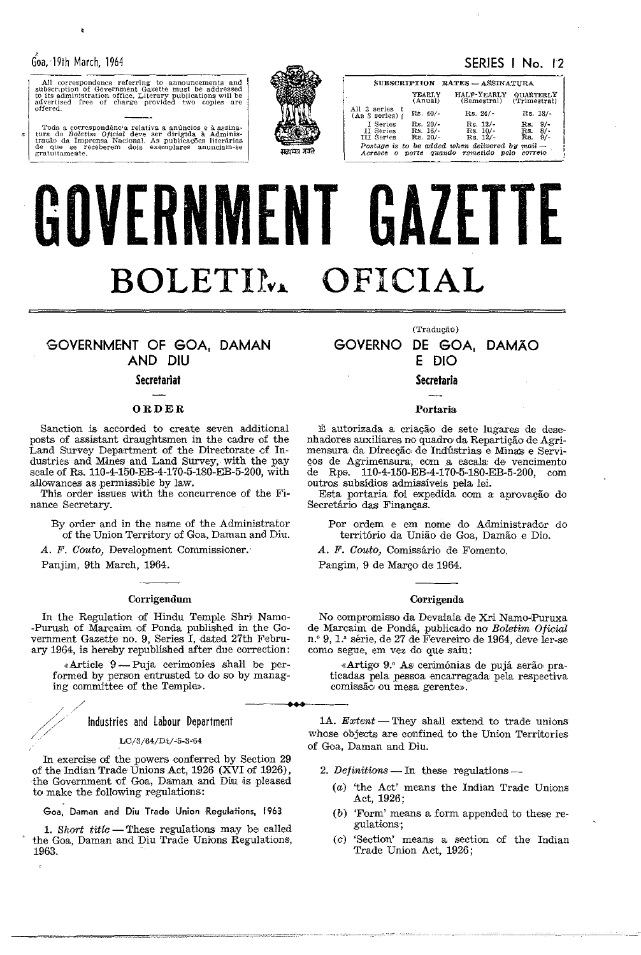gratuitamente.

x

All correspondence referring to announcements and<br>subscription of Government Gazette must be addressed<br>to its administration office. Literary publications will be<br>advertised free of charge provided two copies are<br>offered.

Toda a correspondência relativa a anúncios e à assinatura do Boletim Oficial deve ser dirigida à Administração da Imprensa Nacional, As publicações literárias de que se receberem dois exemplares anunciam-se

# SERIES | No. 12



SUBSCRIPTION RATES - ASSINATURA YEARLY<br>(Anual) HALF-YEARLY QUARTERLY<br>(Semestral) (Trimestral) All 3 series  $($ As 3 series) $\int$  $Rs. 40/$ - $Rs. 24/$ Rs. 18/- $\frac{\text{Rs. 20}}{\text{Rs. 16}}$ <br>Rs. 20/-Rs. 12/-<br>Rs. 10/-<br>Rs. 12/-I Series<br>II Series Rs.  $\frac{9}{8}$ <br>Rs.  $\frac{8}{7}$ <br>Rs.  $\frac{9}{7}$ II Series<br>III Series Postage is to be added when delivered by mail -<br>Acresce o porte quando remetido pelo correio

# GOVERNMENT GAZETTE BOLETIM OFICIAL

# GOVERNMENT OF GOA, DAMAN AND DIU

# **Secretariat**

# ORDER

Sanction is accorded to create seven additional posts of assistant draughtsmen in the cadre of the<br>Land Survey Department of the Directorate of Industries and Mines and Land Survey, with the pay scale of Rs. 110-4-150-EB-4-170-5-180-EB-5-200, with allowances as permissible by law.

This order issues with the concurrence of the Finance Secretary.

By order and in the name of the Administrator of the Union Territory of Goa, Daman and Diu.

A. F. Couto, Development Commissioner.

Panjim, 9th March, 1964.

# Corrigendum

In the Regulation of Hindu Temple Shri Namo--Purush of Marcaim of Ponda published in the Government Gazette no. 9, Series I, dated 27th February 1964, is hereby republished after due correction:

«Article  $9$ —Puja cerimonies shall be performed by person entrusted to do so by managing committee of the Temple».

Industries and Labour Department

LC/3/64/Dt/-5-3-64

In exercise of the powers conferred by Section 29 of the Indian Trade Unions Act, 1926 (XVI of 1926), the Government of Goa, Daman and Diu is pleased to make the following regulations:

Goa, Daman and Diu Trade Union Regulations, 1963

1. Short title - These regulations may be called the Goa, Daman and Diu Trade Unions Regulations, 1963.

# (Traducão) GOVERNO DE GOA, DAMÃO E DIO

**Secretaria** 

# Portaria

É autorizada a criação de sete lugares de desenhadores auxiliares no quadro da Repartição de Agrimensura da Direcção de Indústrias e Minas e Serviços de Agrimensura, com a escala de vencimento de Rps. 110-4-150-EB-4-170-5-180-EB-5-200, com outros subsídios admissíveis pela lei.

Esta portaria foi expedida com a aprovação do Secretário das Finanças.

Por ordem e em nome do Administrador do território da União de Goa, Damão e Dio.

A. F. Couto, Comissário de Fomento.

Pangim, 9 de Março de 1964.

# Corrigenda

No compromisso da Devalaia de Xri Namo-Puruxa de Marcaim de Pondá, publicado no Boletim Oficial n.º 9, 1.ª série, de 27 de Fevereiro de 1964, deve ler-se como segue, em vez do que saiu:

«Artigo 9.º As cerimónias de pujá serão praticadas pela pessoa encarregada pela respectiva comissão ou mesa gerente».

1A.  $Extend$  - They shall extend to trade unions whose objects are confined to the Union Territories of Goa, Daman and Diu.

- 2. Definitions -- In these regulations --
	- (a) 'the Act' means the Indian Trade Unions Act, 1926;
	- $(b)$  'Form' means a form appended to these regulations;
	- (c) 'Section' means a section of the Indian Trade Union Act, 1926;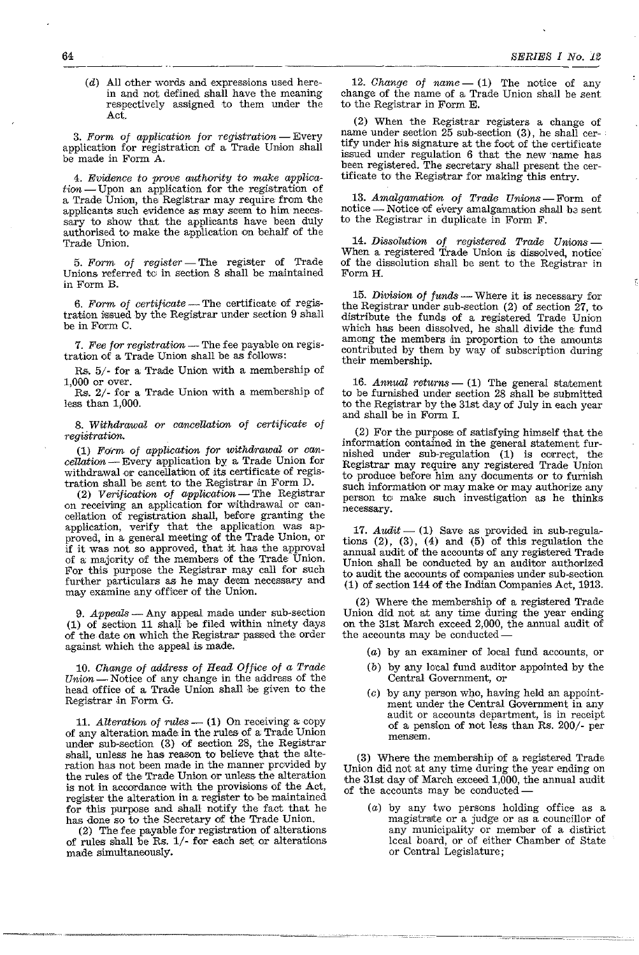$(d)$  All other words and expressions used herein and not defined shall have the meaning respectively assigned to them under the Act.

3. Form of application for registration - Every application for registration of a Trade Union shall be made in Form A.

4. Evidence to prove authority to make applica $tion$  - Upon an application for the registration of a Trade Union, the Registrar may require from the applicants such evidence as may seem to him necessary to show that the applicants have been duly authorised to make the application on behalf of the Trade Union.

5. Form of register - The register of Trade Unions referred to in section 8 shall be maintained in Form B.

6. Form of  $\text{certificance}$  - The certificate of registration issued by the Registrar under section 9 shall be in Form C.

7. Fee for registration - The fee payable on registration of a Trade Union shall be as follows:

Rs.  $5/-$  for a Trade Union with a membership of 1,000 or over.

Rs. 2/- for a Trade Union with a membership of less than 1,000.

*8.* Withdrawal or cancellation of certificate of registration.

 $(1)$  Form of application for withdrawal or can $cellation$  - Every application by a Trade Union for withdrawal or cancellation of its certificate of registration shall be sent to the Registrar in Form D.

(2) Verification of application-The Registrar on receiving an application for withdrawal or cancellation of registration shall, before granting the application, verify that the application was approved, in a general meeting of the Trade Umon, or if it was not so approved, that it has the approval of a majority of the members of the Trade Union. For this purpose the Registrar may call for such further particulars as he may deem necessary and may examine any officer of the Union.

9. Appeals - Any appeal made under sub-section (1) of section 11 shall be filed within ninety days of the date on which the Registrar passed the order against which the appeal is made.

10. Change of address of Head Office of a Trade Union - Notice of any change in the address of the head office of a Trade Union shall be: given to' the Registrar in Form G.

11. Alteration of rules  $-$  (1) On receiving a copy of any alteration made in the rules of a Trade Union under sub-section  $(3)$  of section 28, the Registrar shall, unless he has reason to believe that the alteration has not been made in the manner provided by the rules of the Trade Union or unless the alteration is not in accordance with the provisions of the Act, register the alteration in a register to be malntained for this purpose and shall notify the fact that he has done so to the Secretary of the Trade Union.

(2) The fee payable for registration of alterations of rules shall be Rs. 1/- fOT each set or alterations made simultaneously.

12. *Change of name*  $- (1)$  The notice of any change of the name of a Trade Union shall be sent to the Registrar in Form E.

(2) When the Registrar registers a change of name under section 25 sub-section (3), he shall certify under his signature at the fact of the certificate issued under regulation 6 that the new 'name has been registered. The secretary shall present the certificate to the Registrar for making this entry.

13. Amalgamation of Trade Unions-Form of notice - Notice of every amalgamation shall be sent to the Registrar in duplicate in Form F.

*14.* Dissolution of registered Trade Unions-When a registered Trade Union is dissolved, notice of the dissolution shall be sent to the Registrar in Form H.

15. Division of funds - Where it is necessary for the Registrar under sub-section  $(2)$  of section  $27$ , to distribute the funds of a registered Trade Union which has been dissolved, he shall divide the fund among the members in proportion to the amounts contributed by them by way of subscription during their membership.

16. Annual returns  $-$  (1) The general statement to be furnished under section 28 shall be submitted to the Registrar by the 31st day of July in each year and shall be in Form 1.

(2) For the purpose of satisfying himself that the information contained in the general statement furnished under sub-regulation (1) is COTrect, the Registrar may require any registered Trade Union to produce before him any documents or to furnish such information or may make or may authorize any person to make such investigation as he thinks necessary.

17.  $Audit$   $-$  (1) Save as provided in sub-regulations  $(2)$ ,  $(3)$ ,  $(4)$  and  $(5)$  of this regulation the annual audit of the accounts of any registered Trade Union shall be conducted by an auditor authorized to audit the accounts of companies under sub-section (1) of section 144 of the Indian Companies Act, 1913.

(2) Where the membership of a registered Trade Union did not at any time during the year ending on the 31st March exceed 2,000, the annual audit of the accounts may be conducted

- (a) by an examiner of local fund accounts, or
- (b) by any lo'cal fund auditor appointed by the Central Government, or
- $(c)$  by any person who, having held an appointment under the Central Government in any audit or accounts department, is in receipt of a pension of not less than Rs. 200/- per **mensem.**

(3) Where the membership of a registered Trade Union did not at any time during the year ending on the 31st day of March exceed 1,000, the annual audit of the accounts may be conducted-

(a) by any two persons holding office as a magistrarte or a judge or as a councillor of any municipality or member of a district lecal board, or of either Chamber of State or Central Legislature;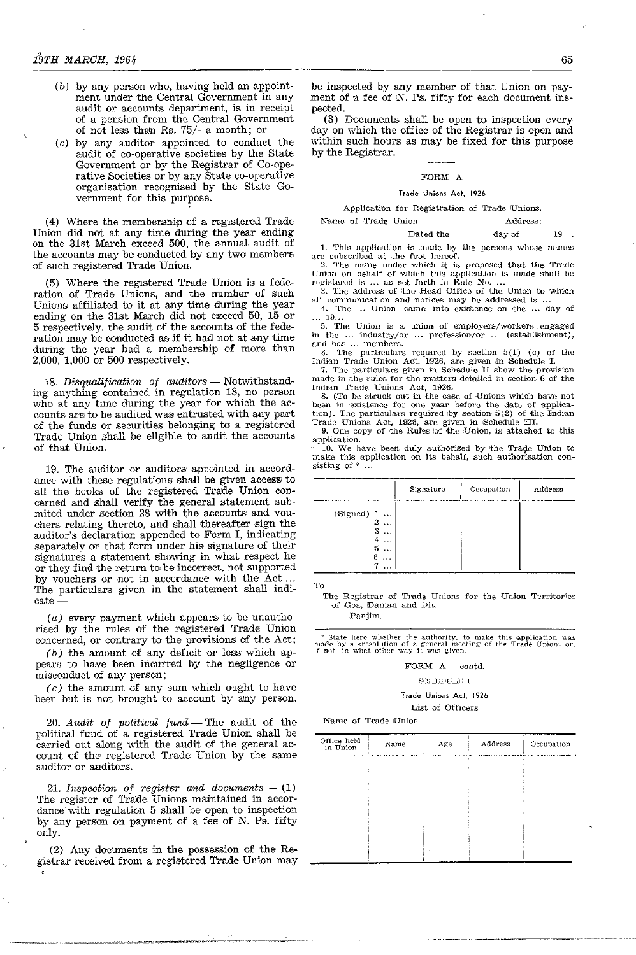$\mathbf{c}$ 

- (b) by any person who, having held an appointment under the Central Government in any audit or accounts department, is in receipt of a pension from the Central Government of not less thaln Rs. 75/- a month; or
- (c) by any auditor appointed to conduct the audit of co-operative societies by the State Government or by the Registrar of Co-operative Societies or by any State co-operative organisation recognised by the State Government for this purpose.

(4) Where the membership of a registered Trade Union did not at any time during the year ending on the 31st March exceed 500, the annual audit of the accounts may be conducted by any two members of such registered Trade Union.

(5) Where the registered Trade Union is a federation of Trade Unions, and the number of such Unions affiliated to it at any time during the year ending on the 31st March did not exceed 50, 15 or 5 respectively, the audit of the accounts of the federation may be conducted as if it had not at any time during the year had a membership of more than 2,000, 1,000 or 500 respectively.

18. Disqualification of auditors  $-$  Notwithstanding anything contained in regulation 18, no person who at any time during the year for which the accounts are to be audited was entrusted with any part of the funds or securities belonging to a registered Trade Union shaH be eligible to audit the accounts of that Union.

19. The auditor or auditors appointed in accordance with these regulations shall be given access to all the books of the registered Trade Union concerned and shall verify the general statement submited under section 28 with the accounts and vouchers relating thereto, and shall thereafter sign the auditor's declaration appended to Form I, indicating separately on that form under his signature of their signatures a statement showing in what respect he or they find the return to be incorrect, not supported by vouchers or not in accordance with the Act ... The particulars given in the statement shall indicate-

(a) every payment which appears to be unauthorised by the rules of the registered Trade Union concerned, or contrary to the provisions of the Act;

 $(b)$  the amount of any deficit or loss which appears to have been incurred by the negligence or misconduct of any person;

*(c)* the amount of any sum which ought to have been but is not brought to account by any person.

20. Audit of political fund - The audit of the political fund of a registered Trade Union shall be carried out along with the audit of the general account of the registered Trade Union by the same auditor or auditors.

21. Inspection of register and documents  $-$  (1) The register of Trade Unions maintained in accordance' with regulation 5 shall be open to inspection by any person on payment of a fee of N. Ps. fifty only.

(2) Any documents in the possession of the Registrar received from a registered Trade Union may

be inspected by any member of that Union on payment of a fee of N. Ps. fifty for each document inspected.

(3) Documents shall be open to inspection every day on which the office of the Registrar is open and within such hours as may be fixed for this purpose by the Registrar.

# FORM A

### Trade Unions Act, 1926

# Application for Registration of Trade Unions.

Name of Trade Union Address:

Dated the day of 19.

1. This application is made by the persons whose names

are subscribed at the foot hereof. 2. The name under which it is proposed that the Trade Union on behalf of which this application is made shall be

registered is ... as set forth in Rule No. ...<br>3. The address of the Head Office of the Union to which

all communication and notices may be addressed is ...<br>4. The ... Union came into existence on the ... day of<br>... 19... .". 19 ... 5. The Union ,is a union of employers/workers engaged

in the ... industry/or ... profession/or ... (establishment), and has ... members.

6. The particulars required by section  $5(1)$  (c) of the Indian Trade Union Act, 1926, are given in Schedule I.

7. The particulars given in Schedule H show the provision made in the rules for the matters detailed in section 6 of the Indian Trade Unions Act, 1926.

8. (To be struck out in the case of Unions which have not been in existence for one year before the date of application). The particulars required by section 5(2) of the Indian Trade Unions Act, 1926, are given in Schedule III.

9. One copy of the Rules of the Union, is attached to this application.

 $10.$  We have been duly authorised by the Trade Union to make this application on its behalf, such authorisation consisting of \* ولأناد

| .                                                                                              | Signature | Occupation | Address |
|------------------------------------------------------------------------------------------------|-----------|------------|---------|
| (Signed) $1 \ldots$<br>$2 \ldots$<br>3<br>$\cdots$<br>4<br>$\cdots$<br>5<br>$\cdots$<br>6<br>. |           |            |         |

To

The Registrar of Trade Unions for the Union Territories of Goa, \Daman and Diu

Panjim.

 $^{\circ}$  State here whether the authority, to make this application was made by a «resolution of a general meeting of the Trade Union» or, if not, in what other way it was given.

# FORM A-contd.

### SCHEDULE I

# Trade Unions Ad, 1926

# List of Officers

Name of Trade Union

| Office held<br>in Union | Name | Age | Address | Occupation |
|-------------------------|------|-----|---------|------------|
|                         |      |     |         |            |
|                         |      |     |         |            |
|                         |      |     |         |            |
|                         |      |     |         |            |
|                         |      |     |         |            |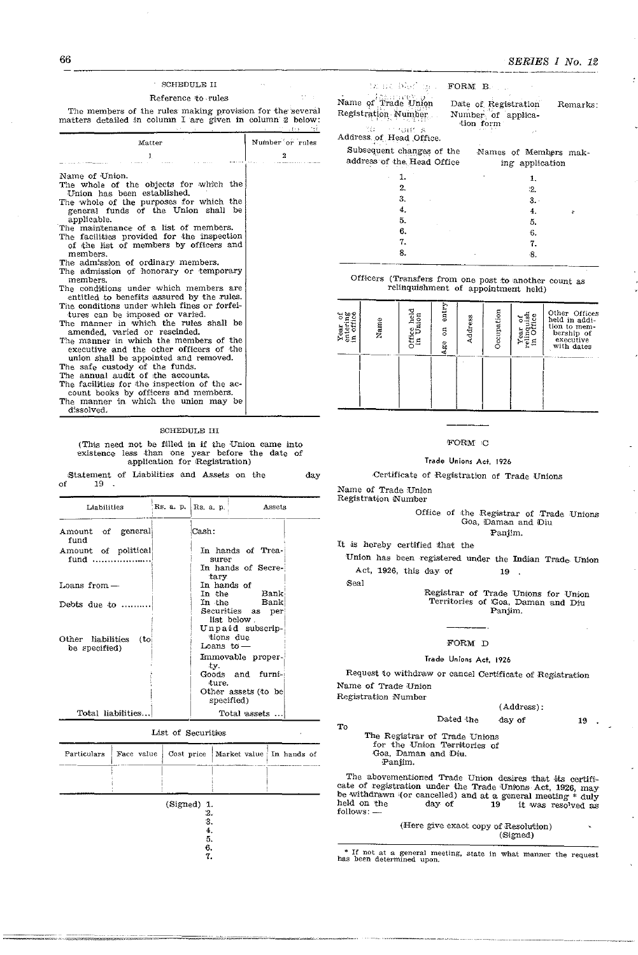# 66

# SERIES I No. 12

The members of the rules making provision for the several matters detailed in column I are given in column  $2$  below:

| Matter                                                                                                                                    | Number or rules  |
|-------------------------------------------------------------------------------------------------------------------------------------------|------------------|
| 1                                                                                                                                         | $\boldsymbol{2}$ |
| Name of Union.                                                                                                                            |                  |
| The whole of the objects for which the<br>Union has been established.                                                                     |                  |
| The whole of the purposes for which the<br>general funds of the Union shall be<br>applicable.                                             |                  |
| The maintenance of a list of members.<br>The facilities provided for the inspection<br>of the list of members by officers and<br>members. |                  |
| The admission of ordinary members.<br>The admission of honorary or temporary<br>members.                                                  |                  |
| The conditions under which members are<br>entitled to benefits assured by the rules.                                                      |                  |
| The conditions under which fines or forfei-<br>tures can be imposed or varied.<br>The manner in which the rules shall be                  |                  |
| amended, varied or rescinded.<br>The manner in which the members of the                                                                   |                  |
| executive and the other officers of the<br>union shall be appointed and removed.                                                          |                  |
| The safe custody of the funds.<br>The annual audit of the accounts.                                                                       |                  |
| The facilities for the inspection of the ac-<br>count books by officers and members.                                                      |                  |
| The manner in which the union may be                                                                                                      |                  |

# d.ssolved.

# **SCHEDULE III**

(This need not be filled in if the Union came into existence less than one year before the date of application for Registration)

Statement of Liabilities and Assets on the day of 19.

| Liabilities                                | Rs. a. p. | Rs. a. p.             | Assets                                                              |
|--------------------------------------------|-----------|-----------------------|---------------------------------------------------------------------|
| Amount of general<br>fund                  |           | Cash:                 |                                                                     |
| Amount of political<br>fund                |           | surer<br>tary         | In hands of Trea-<br>In hands of Secre-                             |
| Loans from -                               |           | In hands of<br>In the | $\rm {Bank}$                                                        |
| Debts due to                               |           |                       | In the Bank<br>Securities as per<br>list below.<br>Unpaid subscrip- |
| Other liabilities<br>(to)<br>be specified) |           | Leans to $-$<br>ίv.   | tions due<br>Immovable proper-                                      |
|                                            |           | ture.                 | Goods and furni-<br>Other assets (to be)<br>specified)              |
| Total liabilities                          |           |                       | Total assets                                                        |

List of Securities

| Particulars | Face value | Cost price                    | Market value In hands of |  |
|-------------|------------|-------------------------------|--------------------------|--|
|             |            |                               |                          |  |
|             |            | (Signed) 1.<br>2.<br>3.<br>4. |                          |  |
|             |            | 5.<br>6.<br>7.                |                          |  |

| the stable form Borne                                   |                                          |
|---------------------------------------------------------|------------------------------------------|
| Name of Trade Union                                     | Date of Registration<br>Remarks:         |
| Registration Number<br>-10 - Thurst a                   | Number of applica-<br>tion form          |
| Address of Head Office.                                 |                                          |
| Subsequent changes of the<br>address of the Head Office | Names of Members mak-<br>ing application |
|                                                         |                                          |
|                                                         |                                          |

| "            |                 | ۰z. |   |
|--------------|-----------------|-----|---|
| 3.<br>$\sim$ |                 | 3.  |   |
| 4.           |                 | 4.  | ÷ |
| 5.<br>$\sim$ |                 | 5.  |   |
| 6.           | <b>Contract</b> | 6.  |   |
| 7.           |                 | 7.  |   |
| 8.           | $\sim$          | 8.  |   |
| ----         |                 |     |   |

Officers (Transfers from one post to another count as relinquishment of appointment held)

| ა დე დ<br>$\circ$<br>ξΞ<br>ь | Name | Office held<br>in Union | entry<br>$\overline{5}$<br>Age | Address | Occupation | Φ<br>reling<br>'' Of<br>Year<br>£. | Other Offices<br>held in addi-<br>tion to mem-<br>bership of<br>executive<br>with dates |
|------------------------------|------|-------------------------|--------------------------------|---------|------------|------------------------------------|-----------------------------------------------------------------------------------------|
|                              |      |                         |                                |         |            |                                    |                                                                                         |

# ${\tt FORM\_C}$

# Trade Unions Act 1926

Certificate of Registration of Trade Unions

Name of Trade Union

Registration Number

Registration Number

To

# Office of the Registrar of Trade Unions Goa, Daman and Diu Panjim.

It is hereby certified that the

Union has been registered under the Indian Trade Union Act, 1926, this day of 19

Seal

Registrar of Trade Unions for Union<br>Territories of Goa, Daman and Diu Panjim.

# FORM D

# Trade Unions Act, 1926

Request to withdraw or cancel Certificate of Registration Name of Trade Union

Dated the

# $(Address):$

day of

19

The Registrar of Trade Unions for the Union Territories of Goa, Daman and Diu. Panjim.

The abovementioned Trade Union desires that its certificate of registration under the Trade Unions Act, 1926, may be withdrawn (or cancelled) and at a general meeting  $*$  duly held on the<br>follows: day of 19 it was resolved as

|  |  | (Here give exact copy of Resolution) |
|--|--|--------------------------------------|
|  |  | (Signed)                             |

\* If not at a general meeting, state in what manner the request has been determined upon.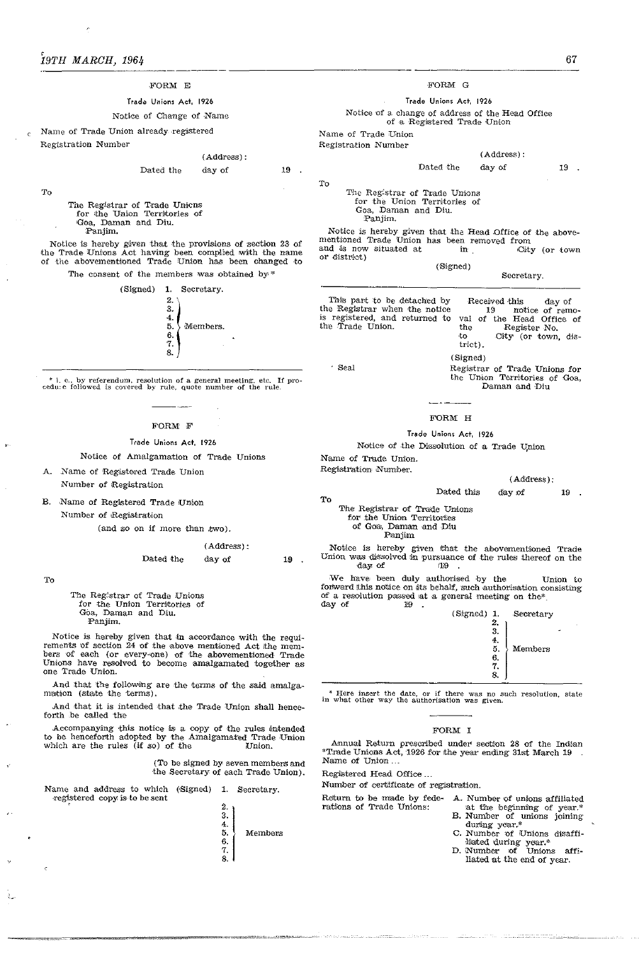# FORM E

# Trade Unions Act. 1926

# Notice of Change of Name

Name of Trade Union already registered Registration Number

T<sub>o</sub>

### Dated the day of

 $(Address):$ 

The Registrar of Trade Unions for the Union Territories of Goa, Daman and Diu. Panjim.

Notice is hereby given that the provisions of section 23 of<br>the Trade Unions Act having been complied with the name of the abovementioned Trade Union has been changed to

The consent of the members was obtained by\*



 $*$  i. e., by referendum, resolution of a general meeting, etc. 1 cedu: e followed is covered by rule, quote number of the rule If pro-

# FORM F

# Trade Unions Act 1926

Notice of Amalgamation of Trade Unions

# A. Name of Registered Trade Union

Number of Registration

B. Name of Registered Trade Union

Number of Registration

(and so on if more than two).

 $(Address):$ Dated the day of

To

The Registrar of Trade Unions for the Union Territories of Goa, Daman and Diu. Panjim.

Notice is hereby given that in accordance with the requirements of section 24 of the above mentioned Act the members of each (or every-one) of the abovementioned Trade Unions have resolved to become amalgamated together as one Trade Union.

And that the following are the terms of the said amalgamation (state the terms).

And that it is intended that the Trade Union shall henceforth be called the

Accompanying this notice is a copy of the rules intended<br>to be henceforth adopted by the Amalgamated Trade Union which are the rules (if so) of the Union.

> To be signed by seven members and the Secretary of each Trade Union).

Name and address to which (Signed) 1. Secretary. registered copy is to be sent



FORM G

# Trade Unions Act. 1926

Notice of a change of address of the Head Office

of a Registered Trade Union

Name of Trade Union Registration Number

Dated the day of

To

The Registrar of Trade Unions for the Union Territories of Goa, Daman and Diu.<br>Panjim.

Notice is hereby given that the Head Office of the above-<br>mentioned Trade Union has been removed from and is now situated at in City (or town or district)

| (S <sub>0</sub> g <sub>0</sub> )                                                                                | Secretary,                                                                                                                                     |
|-----------------------------------------------------------------------------------------------------------------|------------------------------------------------------------------------------------------------------------------------------------------------|
| This part to be detached by<br>he Registrar when the notice<br>s registered, and returned to<br>he Trade Union. | Received this<br>day of<br>notice of remo-<br>19.<br>val of the Head Office of<br>the<br>Register No.<br>to.<br>City (or town, dis-<br>trict). |
|                                                                                                                 | (Signed)                                                                                                                                       |

· Seal

Registrar of Trade Unions for<br>the Union Territories of Goa,

Daman and Diu

 $(Address):$ 

# FORM H

# Trade Unions Act. 1926

Dated this

Notice of the Dissolution of a Trade Union

Name of Trade Union. Registration Number.

 $(Address):$ 

day of 19

To The Registrar of Trade Unions

for the Union Territories

of Goa, Daman and Diu<br>Panjim

Notice is hereby given that the abovementioned Trade<br>Union was dissolved in pursuance of the rules thereof on the day of  $19$ 

We have been duly authorised by the Union to<br>forward this notice on its behalf, such authorisation consisting of a resolution passed at a general meeting on the<br>\* day of 19  $\cdot$ 



\* Here insert the date, or if there was no such resolution, state in what other way the authorisation was given.

# FORM I

Annual Return prescribed under section 28 of the Indian \*Trade Unions Act, 1926 for the year ending 31st March 19 Name of Union...

Registered Head Office...

Number of certificate of registration.

Return to be made by fede- A. Number of unions affiliated rations of Trade Unions:

- at the beginning of year.
- B. Number of unions joining<br>during year.\*<br>C. Number of Unions disaffi-
- liated during year.\*<br>D. Number of Unions affiliated at the end of year.

19

 ${\bf 19}$ 

19  $\sim$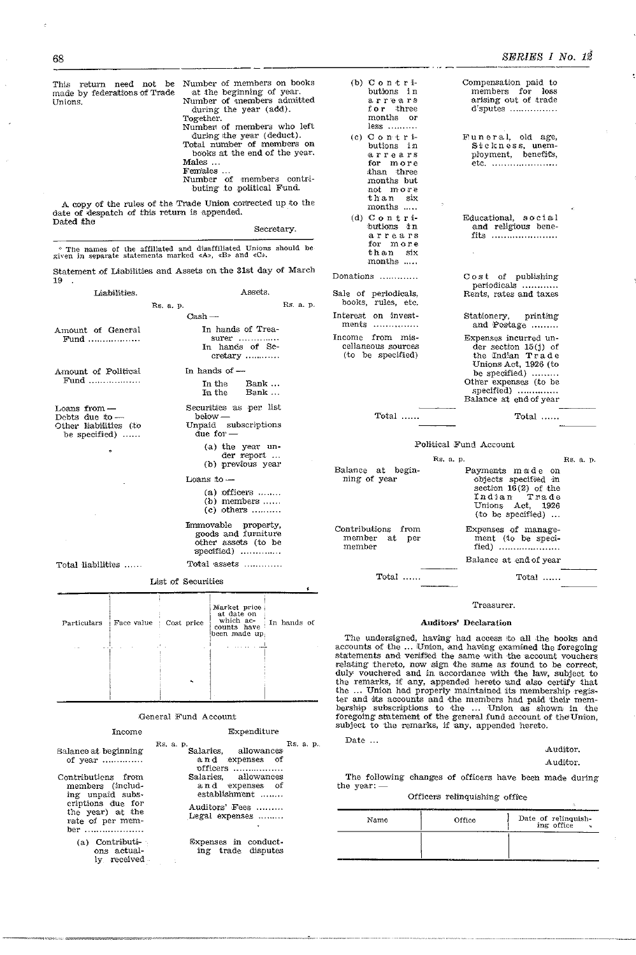This return need not be made by federations of Trade Unions.

Number of members on books at the beginning of year.<br>Number of members admitted during the year (add). Together.

Number of members who left during the year (deduct).<br>Total number of members on books at the end of the year. Males ...

Females ...<br>Number of members contributing to political Fund.

A copy of the rules of the Trade Union contrected up to the date of despatch of this return is appended. Dated the

Secretary.

\* The names of the affiliated and disaffiliated Unions should be given in separate statements marked  $\langle A \rangle$ ,  $\langle B \rangle$  and  $\langle C \rangle$ .

Statement of Liabilities and Assets on the 31st day of March 19

| Liabilities.                                                               |                    | Assets.                                                                         |             |  |  |  |
|----------------------------------------------------------------------------|--------------------|---------------------------------------------------------------------------------|-------------|--|--|--|
|                                                                            | Rs. a. p.          |                                                                                 | Rs. a. p    |  |  |  |
|                                                                            | $Cash -$           |                                                                                 |             |  |  |  |
| Amount of General<br>$\text{Fund}$                                         |                    | In hands of Trea-<br>surer<br>In hands of Se-<br>${\rm cretary}$                |             |  |  |  |
| Amount of Political                                                        |                    | In hands of $-$                                                                 |             |  |  |  |
| Fund                                                                       |                    | In the Bank<br>In the Bank                                                      |             |  |  |  |
| Loans from -<br>Debts due to $-$<br>Other liabilities (to<br>be specified) |                    | Securities as per list<br>below -<br>Unpaid subscriptions<br>due for $-$        |             |  |  |  |
|                                                                            |                    | (a) the year un-<br>der report<br>(b) previous year                             |             |  |  |  |
|                                                                            | Loans to -         |                                                                                 |             |  |  |  |
|                                                                            |                    | $(a)$ officers $\dots$<br>$(b)$ members $\dots$<br>$(c)$ others                 |             |  |  |  |
|                                                                            |                    | Immovable property,<br>goods and furniture<br>other assets (to be<br>specified) |             |  |  |  |
| Total liabilities                                                          |                    | Total assets                                                                    |             |  |  |  |
|                                                                            | List of Securities |                                                                                 |             |  |  |  |
| Particulars   Face value : Cost price                                      |                    | Market price<br>at date on<br>which ac-                                         | In hands of |  |  |  |

| Particulars | Face value | Cost price | at cate on<br>which ac-<br>counts have<br>been made up. | In hands of |
|-------------|------------|------------|---------------------------------------------------------|-------------|
|             |            |            |                                                         |             |
|             |            |            |                                                         |             |
|             |            |            |                                                         |             |
|             |            |            |                                                         |             |

# General Fund Account

Income

# Expenditure

|                                                                                                                                | Rs. a. p.                                                                                    | Rs. a. p. |  |
|--------------------------------------------------------------------------------------------------------------------------------|----------------------------------------------------------------------------------------------|-----------|--|
| Balance at beginning<br>of year                                                                                                | Salaries, allowances<br>and expenses of<br>officers                                          |           |  |
| Contributiens from<br>members (includ-<br>ing unpaid subs-<br>criptions due for<br>the year) at the<br>rate of per mem-<br>ber | Salaries, allowances<br>and expenses of<br>establishment<br>Auditors' Fees<br>Legal expenses |           |  |
| (a) Contributi<br>ons actual-<br>ly received                                                                                   | Expenses in conduct-<br>ing trade disputes                                                   |           |  |

| butions in                                 |  |  |  |
|--------------------------------------------|--|--|--|
| arrears                                    |  |  |  |
| for three                                  |  |  |  |
| ${\rm months}$ or                          |  |  |  |
| $less \dots \dots$                         |  |  |  |
| (c) Contri-                                |  |  |  |
| butions in                                 |  |  |  |
| arrears                                    |  |  |  |
| for more                                   |  |  |  |
| than three                                 |  |  |  |
| months but                                 |  |  |  |
| not more                                   |  |  |  |
| than six                                   |  |  |  |
| months                                     |  |  |  |
| (d) C o n t r i-                           |  |  |  |
| butions un                                 |  |  |  |
| arrears                                    |  |  |  |
| for mone                                   |  |  |  |
| than six                                   |  |  |  |
| months                                     |  |  |  |
| Donations                                  |  |  |  |
| Sale of periodicals,<br>books, rules, etc. |  |  |  |
|                                            |  |  |  |
| Interest on invest-                        |  |  |  |

(b)  $C$  o n t r i-

In ments ............... Income from miscellaneous sources (to be specified)

Total ...

SERIES I No. 12

| members for loss<br>arising out of trade<br>$d$ sputes                                                                                                                        |  |
|-------------------------------------------------------------------------------------------------------------------------------------------------------------------------------|--|
| Funeral, old age,<br>Sickness, unem-<br>ployment, benefits,<br>etc.<br>.                                                                                                      |  |
| Educational, social<br>and religious bene-<br>fits                                                                                                                            |  |
| Cost of publishing<br>periodicals<br>Rents, rates and taxes                                                                                                                   |  |
| Stationery, printing<br>and Postage                                                                                                                                           |  |
| Expenses incurred un-<br>$der section 15(j)$ of<br>the Indian Trade<br>Unions Act, 1926 (to<br>be specified)<br>Other expenses (to be<br>specified)<br>Balance at end of year |  |
| $\mathrm{Total}$                                                                                                                                                              |  |

Compensation paid to

# Political Fund Account

|                                               | Rs. a. p.                                                                                                                              | Rs. a. p. |
|-----------------------------------------------|----------------------------------------------------------------------------------------------------------------------------------------|-----------|
| Balance at begin-<br>ning of year             | Payments made on<br>objects specified in<br>section $16(2)$ of the<br>Indian Trade<br>Unions Act, 1926<br>$(t_0$ be specified $\ldots$ |           |
| Contributions from<br>member at per<br>member | Expenses of manage-<br>ment (to be speci-<br>fied) $\dots\dots\dots\dots\dots\dots\dots$                                               |           |
|                                               | Balance at end of year                                                                                                                 |           |
| Total                                         | Total                                                                                                                                  |           |

# Treasurer.

# Auditors' Declaration

The undersigned, having had access to all the books and accounts of the ... Union, and having examined the foregoing statements and ventiled the same with the account vouchers relating thereto, now sign the same with the account vouchers, duly vouchered and in accordance with the law, subject to duly vouchered and in accordance with the law, subject to<br>the remarks, if any, appended hereto and also certify that<br>the ... Union had properly maintained its membership regis-<br>ter and its accounts and the members had paid

Date ...

# Auditor.

# Auditor.

The following changes of officers have been made during the year:

# Officers relinquishing office

| Name | Office | Date of relinquish-<br>ing office |
|------|--------|-----------------------------------|
|      |        |                                   |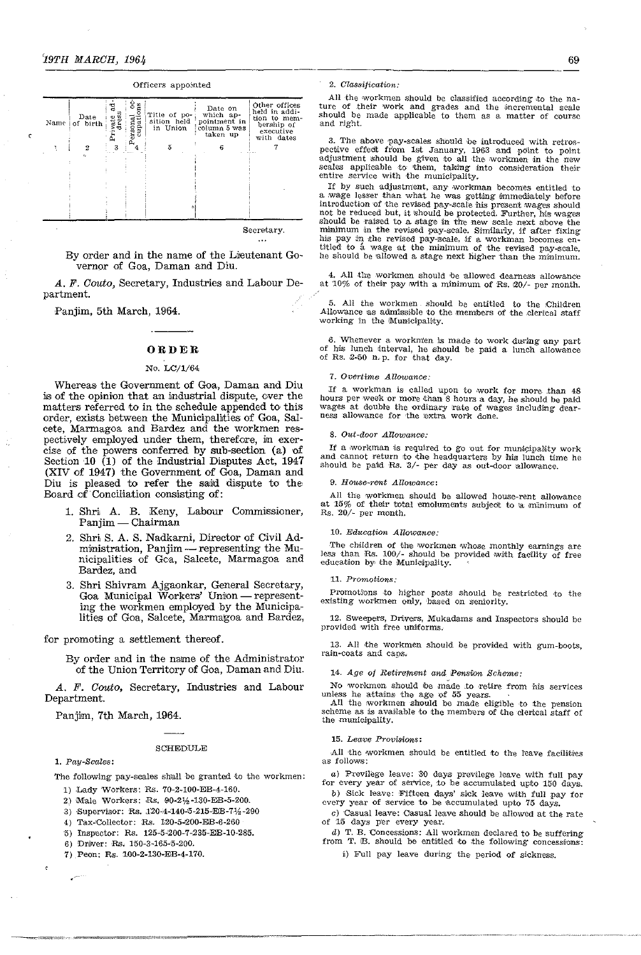| Name i | Date<br>of birth | चु<br>vate<br>dress<br>Ë | ខំឌួ<br>Personal<br>Cupation | Title of po-<br>sition held<br>in Union | Date on<br>which ap-<br>pointment in<br>column 5 was<br>taken up | Other offices<br>held in addi-<br>tion to mem-<br>bership of<br>executive<br>with dates |
|--------|------------------|--------------------------|------------------------------|-----------------------------------------|------------------------------------------------------------------|-----------------------------------------------------------------------------------------|
|        | 2                | 3                        |                              | 5                                       | 6                                                                |                                                                                         |
|        | c.               |                          |                              |                                         |                                                                  |                                                                                         |
|        |                  |                          |                              |                                         |                                                                  |                                                                                         |
|        |                  |                          |                              |                                         |                                                                  |                                                                                         |
|        |                  |                          |                              |                                         |                                                                  |                                                                                         |
|        |                  |                          |                              |                                         |                                                                  |                                                                                         |
|        |                  |                          |                              |                                         |                                                                  |                                                                                         |
|        |                  |                          |                              |                                         |                                                                  |                                                                                         |

Officers appointed

Secretary.

By order and in the name of the Lieutenant Governor of Goa, Daman and Diu.

A. F. Couto, Secretary, Industries and Labour Department.

Panjim, 5th March, 1964.

# ORDER

# No. LC/1/64

Whereas the Government of Goa, Daman and Diu is of the opinion that an industrial dispute, over the matters referred to in the schedule appended to this order, exists between the Municipalities of Goa, Salcete, Marmagoa and Bardez and the workmen respectively employed under them, therefore, in exer-<br>cise of the powers conferred by sub-section (a) of Section 10 (1) of the Industrial Disputes Act, 1947 (XIV of 1947) the Government of Goa, Daman and Diu is pleased to refer the said dispute to the Board of Conciliation consisting of:

- 1. Shri A. B. Keny, Labour Commissioner, Panjim — Chairman
- 2. Shri S. A. S. Nadkarni, Director of Civil Administration, Panjim — representing the Municipalities of Gca, Salcete, Marmagoa and Bardez, and
- 3. Shri Shivram Ajgaonkar, General Secretary,<br>Goa Municipal Workers' Union representing the workmen employed by the Municipalities of Goa, Salcete, Marmagoa and Bardez,

# for promoting a settlement thereof.

By order and in the name of the Administrator of the Union Territory of Goa, Daman and Diu.

A. F. Couto, Secretary, Industries and Labour Department.

Panjim, 7th March, 1964.

### **SCHEDULE**

# 1. Pay-Scales:

The following pay-scales shall be granted to the workmen:

- 1) Lady Workers: Rs. 70-2-100-EB-4-160.
- 2) Male Workers: Rs. 90-21/2-130-EB-5-200.
- 3) Supervisor: Rs. 120-4-140-5-215-EB-71/2-290
- 4) Tax-Collector: Rs. 120-5-200-EB-6-260
- 5) Inspector: Rs.  $125-5-200-7-235$ -EE-10-285.
- 6) Driver: Rs. 150-3-165-5-200.
- 7) Peon: Rs. 100-2-130-EB-4-170.

# 2. Classification:

All the workmen should be classified according to the nature of their work and grades and the incremental scale should be made applicable to them as a matter of course and right.

3. The above pay-scales should be introduced with retrospective effect from 1st January, 1963 and point to point adjustment should be given to all the workmen in the new scales applicable to them, taking into consideration

If by such adjustment, any workman becomes entitled to a wage lesser than what he was getting immediately before introduction of the revised pay-scale his present wages should not be reduced but, it should be protected. Further, his wages<br>should be raised to a stage in the new scale next above the<br>minimum in the revised pay-scale. Similarly, if after fixing his pay in the revised pay-scale, if a workman becomes entitled to a wage at the minimum of the revised pay-scale, he should be allowed a stage next higher than the minimum.

4. All the workmen should be allowed dearness allowance at  $10\%$  of their pay with a minimum of Rs. 20/- per month.

5. All the workmen should be entitled to the Children Allowance as admissible to the members of the clerical staff working in the Municipality.

6. Whenever a workmen is made to work during any part of his lunch interval, he should be paid a lunch allowance<br>of Rs. 2-50 n.p. for that day.

# 7. Overtime Allowance:

If a workman is called upon to work for more than 48 hours per week or more than 8 hours a day, he should be paid wages at double the ordinary rate of wages including dearness allowance for the extra work done.

### 8. Out-door Allowance:

If a workman is required to go out for municipality work and cannot return to the headquarters by his lunch time he should be paid Rs. 3/- per day as out-door allowance.

# 9. House-rent Allowance:

All the workmen should be allowed house-rent allowance at 15% of their total emoluments subject to a minimum of Rs. 20/- per month.

# 10. Education Allowance

The children of the workmen whose monthly earnings are<br>less than Rs. 100/- should be provided with facility of free education by the Municipality.

### 11. Promotions:

Promotions to higher posts should be restricted to the existing workmen only, based on seniority.

12. Sweepers, Drivers, Mukadams and Inspectors should be provided with free uniforms.

13. All the workmen should be provided with gum-boots, rain-coats and caps.

# 14. Age of Retirement and Pension Scheme:

No workmen should be made to retire from his services

unless he attains the age of 55 years.<br>All the workmen should be made eligible to the pension scheme as is available to the members of the clerical staff of the municipality.

# 15. Leave Provisions:

All the workmen should be entitled to the leave facilities as follows:

a) Previlege leave: 30 days previlege leave with full pay for every year of service, to be accumulated upto 150 days.

b) Sick leave: Fifteen days' sick leave with full pay for every year of service to be accumulated upto 75 days.

c) Casual leave: Casual leave should be allowed at the rate of 15 days per every year.

d) T. B. Concessions: All workmen declared to be suffering from T. B. should be entitled to the following concessions:

i) Full pay leave during the period of sickness.